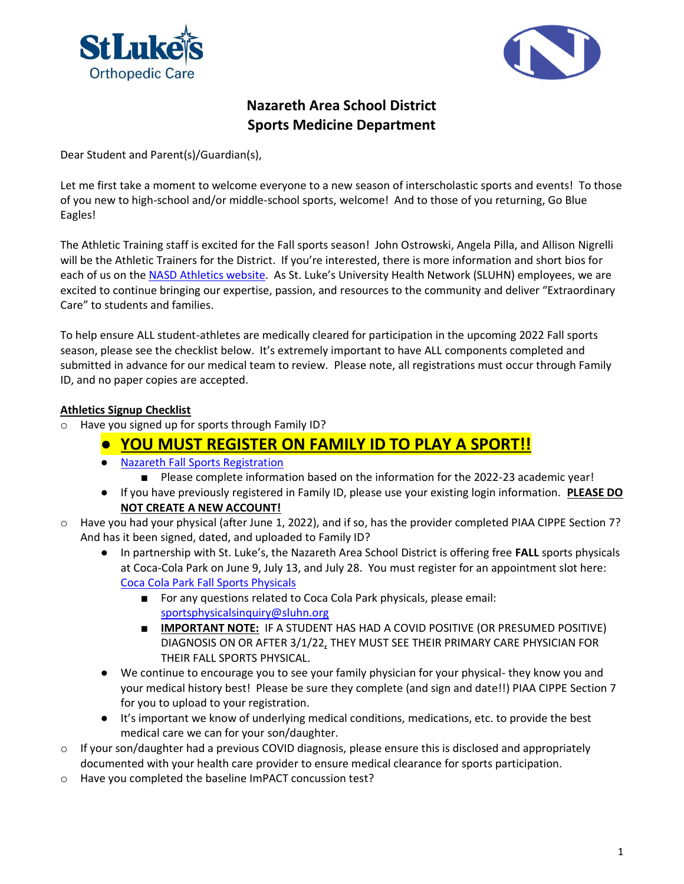



# **Nazareth Area School District Sports Medicine Department**

Dear Student and Parent(s)/Guardian(s),

Let me first take a moment to welcome everyone to a new season of interscholastic sports and events! To those of you new to high-school and/or middle-school sports, welcome! And to those of you returning, Go Blue Eagles!

The Athletic Training staff is excited for the Fall sports season! John Ostrowski, Angela Pilla, and Allison Nigrelli will be the Athletic Trainers for the District. If you're interested, there is more information and short bios for each of us on the [NASD Athletics website](https://www.nazarethasd.k12.pa.us/cms/lib/PA01000243/Centricity/Domain/72/NASD%20FINAL%20-%209-10-2020.pdf). As St. Luke's University Health Network (SLUHN) employees, we are excited to continue bringing our expertise, passion, and resources to the community and deliver "Extraordinary Care" to students and families.

To help ensure ALL student-athletes are medically cleared for participation in the upcoming 2022 Fall sports season, please see the checklist below. It's extremely important to have ALL components completed and submitted in advance for our medical team to review. Please note, all registrations must occur through Family ID, and no paper copies are accepted.

### **Athletics Signup Checklist**

o Have you signed up for sports through Family ID?

# ● **YOU MUST REGISTER ON FAMILY ID TO PLAY A SPORT!!**

- [Nazareth Fall Sports Registration](https://www.familyid.com/nazareth-area-school-district/nazareth-area-school-district-fall-athletic-registration-2022)
	- Please complete information based on the information for the 2022-23 academic year!
- If you have previously registered in Family ID, please use your existing login information. **PLEASE DO NOT CREATE A NEW ACCOUNT!**
- o Have you had your physical (after June 1, 2022), and if so, has the provider completed PIAA CIPPE Section 7? And has it been signed, dated, and uploaded to Family ID?
	- In partnership with St. Luke's, the Nazareth Area School District is offering free **FALL** sports physicals at Coca-Cola Park on June 9, July 13, and July 28. You must register for an appointment slot here: [Coca Cola Park Fall Sports Physicals](https://offer.fevo.com/st-luke-s-athlete-physicals-361ee48?fevoUri=st-luke-s-athlete-physicals-361ee48%2Fst-luke-s-athlete-physicals-361ee48)
		- For any questions related to Coca Cola Park physicals, please email: [sportsphysicalsinquiry@sluhn.org](mailto:sportsphysicalsinquiry@sluhn.org)
		- **IMPORTANT NOTE:** IF A STUDENT HAS HAD A COVID POSITIVE (OR PRESUMED POSITIVE) DIAGNOSIS ON OR AFTER 3/1/22, THEY MUST SEE THEIR PRIMARY CARE PHYSICIAN FOR THEIR FALL SPORTS PHYSICAL.
	- We continue to encourage you to see your family physician for your physical- they know you and your medical history best! Please be sure they complete (and sign and date!!) PIAA CIPPE Section 7 for you to upload to your registration.
	- It's important we know of underlying medical conditions, medications, etc. to provide the best medical care we can for your son/daughter.
- o If your son/daughter had a previous COVID diagnosis, please ensure this is disclosed and appropriately documented with your health care provider to ensure medical clearance for sports participation.
- o Have you completed the baseline ImPACT concussion test?